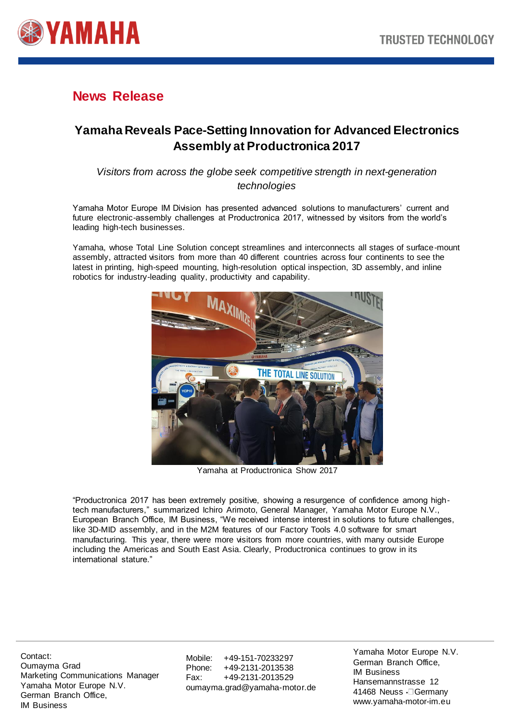

# **News Release**

# **Yamaha Reveals Pace-Setting Innovation for Advanced Electronics Assembly at Productronica 2017**

## *Visitors from across the globe seek competitive strength in next-generation technologies*

Yamaha Motor Europe IM Division has presented advanced solutions to manufacturers' current and future electronic-assembly challenges at Productronica 2017, witnessed by visitors from the world's leading high-tech businesses.

Yamaha, whose Total Line Solution concept streamlines and interconnects all stages of surface-mount assembly, attracted visitors from more than 40 different countries across four continents to see the latest in printing, high-speed mounting, high-resolution optical inspection, 3D assembly, and inline robotics for industry-leading quality, productivity and capability.



Yamaha at Productronica Show 2017

"Productronica 2017 has been extremely positive, showing a resurgence of confidence among hightech manufacturers," summarized Ichiro Arimoto, General Manager, Yamaha Motor Europe N.V., European Branch Office, IM Business, "We received intense interest in solutions to future challenges, like 3D-MID assembly, and in the M2M features of our Factory Tools 4.0 software for smart manufacturing. This year, there were more visitors from more countries, with many outside Europe including the Americas and South East Asia. Clearly, Productronica continues to grow in its international stature."

Contact: Oumayma Grad Marketing Communications Manager Yamaha Motor Europe N.V. German Branch Office, IM Business

Mobile: +49-151-70233297 Phone: +49-2131-2013538 Fax: +49-2131-2013529 oumayma.grad@yamaha-motor.de

Yamaha Motor Europe N.V. German Branch Office, IM Business Hansemannstrasse 12 41468 Neuss • Germany www.yamaha-motor-im.eu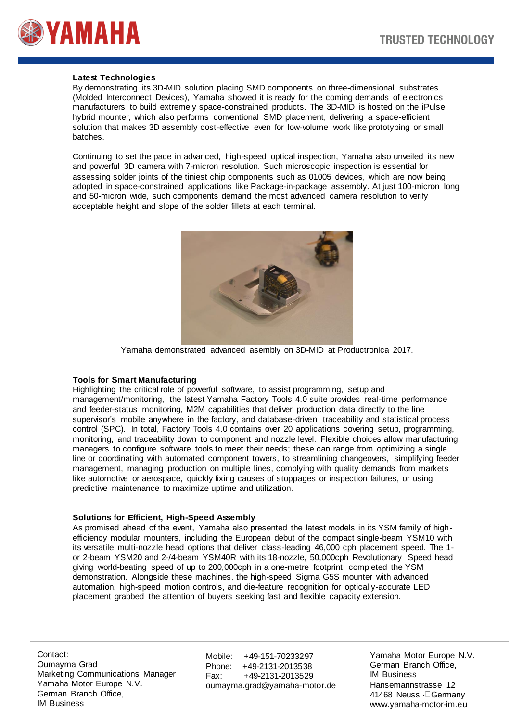

### **Latest Technologies**

By demonstrating its 3D-MID solution placing SMD components on three-dimensional substrates (Molded Interconnect Devices), Yamaha showed it is ready for the coming demands of electronics manufacturers to build extremely space-constrained products. The 3D-MID is hosted on the iPulse hybrid mounter, which also performs conventional SMD placement, delivering a space-efficient solution that makes 3D assembly cost-effective even for low-volume work like prototyping or small batches.

Continuing to set the pace in advanced, high-speed optical inspection, Yamaha also unveiled its new and powerful 3D camera with 7-micron resolution. Such microscopic inspection is essential for assessing solder joints of the tiniest chip components such as 01005 devices, which are now being adopted in space-constrained applications like Package-in-package assembly. At just 100-micron long and 50-micron wide, such components demand the most advanced camera resolution to verify acceptable height and slope of the solder fillets at each terminal.



Yamaha demonstrated advanced asembly on 3D-MID at Productronica 2017.

#### **Tools for Smart Manufacturing**

Highlighting the critical role of powerful software, to assist programming, setup and management/monitoring, the latest Yamaha Factory Tools 4.0 suite provides real-time performance and feeder-status monitoring, M2M capabilities that deliver production data directly to the line supervisor's mobile anywhere in the factory, and database-driven traceability and statistical process control (SPC). In total, Factory Tools 4.0 contains over 20 applications covering setup, programming, monitoring, and traceability down to component and nozzle level. Flexible choices allow manufacturing managers to configure software tools to meet their needs; these can range from optimizing a single line or coordinating with automated component towers, to streamlining changeovers, simplifying feeder management, managing production on multiple lines, complying with quality demands from markets like automotive or aerospace, quickly fixing causes of stoppages or inspection failures, or using predictive maintenance to maximize uptime and utilization.

#### **Solutions for Efficient, High-Speed Assembly**

As promised ahead of the event, Yamaha also presented the latest models in its YSM family of highefficiency modular mounters, including the European debut of the compact single-beam YSM10 with its versatile multi-nozzle head options that deliver class-leading 46,000 cph placement speed. The 1 or 2-beam YSM20 and 2-/4-beam YSM40R with its 18-nozzle, 50,000cph Revolutionary Speed head giving world-beating speed of up to 200,000cph in a one-metre footprint, completed the YSM demonstration. Alongside these machines, the high-speed Sigma G5S mounter with advanced automation, high-speed motion controls, and die-feature recognition for optically-accurate LED placement grabbed the attention of buyers seeking fast and flexible capacity extension.

Contact: Oumayma Grad Marketing Communications Manager Yamaha Motor Europe N.V. German Branch Office, IM Business

Mobile: +49-151-70233297 Phone: +49-2131-2013538 Fax: +49-2131-2013529 oumayma.grad@yamaha-motor.de

Yamaha Motor Europe N.V. German Branch Office, IM Business Hansemannstrasse 12 41468 Neuss • Germany www.yamaha-motor-im.eu